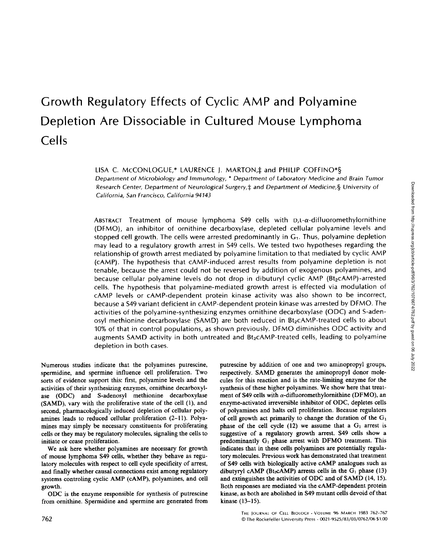# **Growth Regulatory Effects of Cyclic AMP and Polyamine Depletion Are Dissociable in Cultured Mouse Lymphoma Cells**

LISA C. MCCONLOGUE,\* LAURENCE J. MARTON, ± and PHILIP COFFINO\*§ *Department of Microbiology and Immunology, \* Department of Laboratory Medicine and Brain Tumor Research Center, Department of Neurological Surgery,~ and Department* of *Medicine,§ University* of *California, San Francisco, California 94143* 

ABSTRACT Treatment of mouse lymphoma  $549$  cells with  $D,L-\alpha$ -difluoromethylornithine (DFMO), an inhibitor of ornithine decarboxylase, depleted cellular polyamine levels and stopped cell growth. The cells were arrested predominantly in  $G_1$ . Thus, polyamine depletion may lead to a regulatory growth arrest in \$49 cells. We tested two hypotheses regarding the relationship of growth arrest mediated by polyamine limitation to that mediated by cyclic AMP (cAMP). The hypothesis that cAMP-induced arrest results from polyamine depletion is not tenable, because the arrest could not be reversed by addition of exogenous polyamines, and because cellular polyamine levels do not drop in dibuturyl cyclic AMP (Bt<sub>2</sub>cAMP)-arrested cells. The hypothesis that polyamine-mediated growth arrest is effected via modulation of cAMP levels or cAMP-dependent protein kinase activity was also shown to be incorrect, because a \$49 variant deficient in cAMP-dependent protein kinase was arrested by DFMO. The activities of the polyamine-synthesizing enzymes ornithine decarboxylase (ODC) and S-adenosyl methionine decarboxylase (SAMD) are both reduced in Bt<sub>2</sub>cAMP-treated cells to about 10% of that in control populations, as shown previously. DFMO diminishes ODC activity and augments SAMD activity in both untreated and  $Bt<sub>2</sub>$ cAMP-treated cells, leading to polyamine depletion in both cases.

Numerous studies indicate that the polyamines putrescine, spermidine, and spermine influence cell proliferation. Two sorts of evidence support this: first, polyamine levels and the activities of their synthesizing enzymes, ornithine decarboxylase (ODC) and S-adenosyl methionine decarboxylase (SAMD), vary with the proliferative state of the cell (1), and second, pharmacologically induced depletion of cellular polyamines leads to reduced cellular proliferation (2-11). Polyamines may simply be necessary constituents for proliferating cells or they may be regulatory molecules, signaling the cells to initiate or cease proliferation.

We ask here whether polyamines are necessary for growth of mouse lymphoma \$49 cells, whether they behave as regulatory molecules with respect to cell cycle specificity of arrest, and finally whether causal connections exist among regulatory systems controling cyclic AMP (cAMP), polyamines, and cell growth.

ODC is the enzyme responsible for synthesis of putrescine from ornithine. Spermidine and spermine are generated from putrescine by addition of one and two aminopropyl groups, respectively. SAMD generates the aminopropyl donor molecules for this reaction and is the rate-limiting enzyme for the synthesis of these higher polyamines. We show here that treatment of  $S49$  cells with  $\alpha$ -difluoromethylornithine (DFMO), an enzyme-activated irreversible inhibitor of ODC, depletes cells of polyamines and halts cell proliferation. Because regulators of cell growth act primarily to change the duration of the  $G_1$ phase of the cell cycle (12) we assume that a  $G_1$  arrest is suggestive of a regulatory growth arrest. S49 cells show a predominantly  $G<sub>1</sub>$  phase arrest with DFMO treatment. This indicates that in these cells polyamines are potentially regulatory molecules. Previous work has demonstrated that treatment of \$49 cells with biologically active cAMP analogues such as dibutyryl cAMP (Bt<sub>2</sub>cAMP) arrests cells in the  $G_1$  phase (13) and extinguishes the activities of ODC and of SAMD (14, 15). Both responses are mediated via the cAMP-dependent protein kinase, as both are abolished in \$49 mutant cells devoid of that kinase (13-15).

Downloaded from http://rupress.org/jcb/article-pdf/96/3/762/1076674/762.pdf by guest on 06 July 2022 Downloaded from http://rupress.org/jcb/article-pdf/96/3/762/1076674/762.pdf by guest on 06 July 2022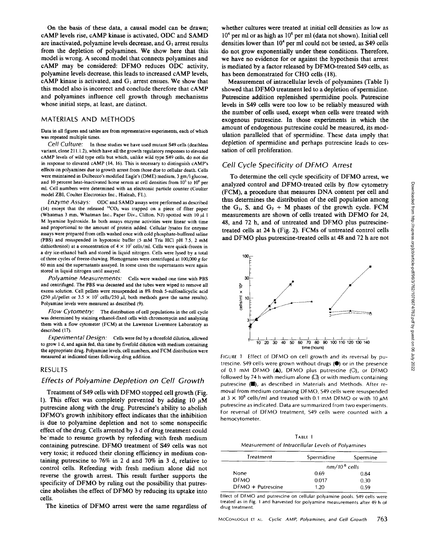**On the basis of these data, a causal model can be drawn; cAMP levels rise, cAMP kinase is activated, ODC and SAMD**  are inactivated, polyamine levels decrease, and G<sub>1</sub> arrest results **from the depletion of polyamines. We show here that this model is wrong. A second model that connects polyamines and cAMP may be considered: DFMO reduces ODC activity, polyamine levels decrease, this leads to increased cAMP levels,**  cAMP kinase is activated, and G<sub>1</sub> arrest ensues. We show that **this model also is incorrect and conclude therefore that cAMP and polyamines influence cell growth through mechanisms whose initial steps, at least, are distinct.** 

#### MATERIALS AND METHODS

Data in all figures and tables are from representative experiments, each **of which**  was repeated multiple times.

*Cell Culture:* In these studies we have used mutant \$49 ceils (deathless variant, clone 21 I. 1.2), which have all the growth regulatory **responses to** elevated cAMP levels of wild type cells but which, unlike wild type \$49 cells, do not die in response to elevated cAMP (14, 16). This is necessary to distinguish cAMP's **effects** on polyamines due to growth arrest from those due to cellular death. Ceils were maintained in Dulbecco's modified Eagle's (DME) medium, 3 gm/l glucose, and 10 percent heat-inactivated horse serum at cell densities from  $10^5$  to  $10^6$  per ml. Cell numbers were determined with an electronic particle counter (Coulter model ZBI, Coulter Electronics Inc., Hialeah, FL).

*Enzyme Assays:* ODC and SAMD assays were performed as described (14) except that the released  ${}^{14}CO_2$  was trapped on a piece of filter paper (Whatman 3 mm, Whatman Inc., Paper Div., Clifton, NJ) spotted with  $10 \mu l$  1 M hyamine hydroxide. In both assays enzyme activities were linear with time and proportional **to the amount of** protein added. Cellular lysates for enzyme assays were prepared from cells washed once with cold phosphate-buffered saline (PBS) and resuspended in hypotonic buffer (5 mM Tris HCI pH 7.5, 2 mM dithiothreitol) at a concentration of  $4 \times 10^7$  cells/ml. Cells were quick-frozen in a dry ice-ethanol bath and stored in liquid nitrogen. Cells were lysed by a **total of** three cycles of freeze-thawing. Homogenates were centrifuged at 100,000 g **for**  60 min and the supernatants assayed. In some **cases the** superuatants were again stored in liquid nitrogen until assayed.

*Polyamine Measurements:* Cells were washed one time with PBS and centrifuged. The PBS was decanted and **the tubes** were wiped to remove all excess solution. Cell pellets were resuspended in 8% fresh 5-sulfosalicycllc acid (250  $\mu$ l/pellet or 3.5  $\times$  10<sup>7</sup> cells/250  $\mu$ l, both methods gave the same results). Polyamine levels were measured as described (9).

*Flow Cytometry:* The distribution of cell populations in the cell cycle was determined by staining ethanol-fixed cells with chromomycin and analyzing them with a flow cytometer (FCM) at the Lawrence Livermore Laboratory as described (17).

*Experimental Design: Cells* were fed by a threefold dilution, allowed **to** grow 1 d, and again fed, this time by fivefold dilution with medium containing **the** appropriate drug. Polyamine levels, cell numbers, and FCM distribution were measured at indicated times following drug addition.

#### RESULTS

#### *Effects of Polyamine Depletion on Cell Growth*

**Treatment of \$49 cells with DFMO stopped cell growth (Fig.**  1). This effect was completely prevented by adding 10  $\mu\dot{M}$ **putrescine along with the drug. Putrescine's ability to abolish DFMO's growth inhibitory effect indicates that the inhibition is due to polyamine depletion and not to some nonspecific effect of the drug. Cells arrested by 3 d of drug treatment could be'made to resume growth by refeeding with fresh medium containing putrescine. DFMO treatment of \$49 cells was not very toxic; it reduced their cloning efficiency in medium containing putrescine to 76% in 2 d and 70% in 3 d, relative to control cells. Refeeding with fresh medium alone did not reverse the growth arrest. This result further supports the specificity of DFMO by ruling out the possibility that putrescine abolishes the effect of DFMO by reducing its uptake into cells.** 

**The kinetics of DFMO arrest were the same regardless of** 

**whether cultures were treated at initial cell densities as low as 104 per ml or as high as 106 per ml (data not shown). Initial cell densities lower than 104 per ml could not be tested, as \$49 cells do not grow exponentially under these conditions. Therefore, we have no evidence for or against the hypothesis that arrest is mediated by a factor released by DFMO-treated \$49 cells, as has been demonstrated for CHO cells (18).** 

**Measurement of intracellular levels of polyamines (Table I) showed that DFMO treatment led to a depletion of spermidine. Putrescine addition replenished spermidine pools. Putrescine levels in \$49 cells were too low to be reliably measured with the number of cells used, except when cells were treated with exogenous putrescine. In those experiments in which the amount of endogenous putrescine could be measured, its modulation paralleled that of spermidine. These data imply that depletion of spermidine and perhaps putrescine leads to cessation of cell proliferation.** 

#### *Cell Cycle Specificity of DFMO Arrest*

**To determine the cell cycle specificity of DFMO arrest, we analyzed control and DFMO-treated cells by flow cytometry (FCM), a procedure that measures DNA content per cell and thus determines the distribution of the cell population among**  the  $G_1$ , S, and  $G_2 + M$  phases of the growth cycle. FCM **measurements are shown of cells treated with DFMO for 24, 48, and 72 h, and of untreated and DFMO plus putrescinetreated cells at 24 h (Fig. 2). FCMs of untreated control ceils and DFMO plus putrescine-treated cells at 48 and 72 h are not** 



FIGURE 1 Effect of DFMO on cell growth and its reversal by putrescine.  $549$  cells were grown without drugs  $(①)$  or in the presence **of** 0.1 mM DFMO (&), DFMO plus putrescine (O), or DFMO followed by 74 h with medium alone  $(1)$  or with medium containing putrescine ( $\blacksquare$ ), as described in Materials and Methods. After removal from medium containing DFMO, \$49 cells were resuspended at 3  $\times$  10<sup>5</sup> cells/ml and treated with 0.1 mM DFMO or with 10  $\mu$ M putrescine as indicated. Data are summarized from two experiments. **For reversal of** DFMO treatment, \$49 cells were counted with a hemocytometer.

| TARLE 1                                           |
|---------------------------------------------------|
| Measurement of Intracellular Levels of Polyamines |

| Treatment           | Spermidine     | Spermine |
|---------------------|----------------|----------|
|                     | $nm/106$ cells |          |
| <b>None</b>         | 0.69           | 0.84     |
| <b>DFMO</b>         | 0.017          | 0.30     |
| $DFMO + Putrescine$ | 1.20           | 0.59     |

Effect of DFMO and putrescine on cellular polyamine pools. \$49 cells were treated as in Fig. 1 and harvested for polyamine measurements after 49 h **of**  drug treatment.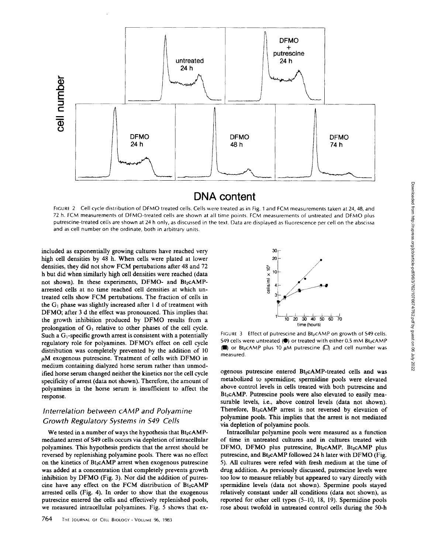

## **DNA content**

FIGURE 2 Cell cycle distribution of DFMO treated cells. Cells were treated as in Fig. 1 and FCM measurements taken at 24, 48, and 72 h. FCM measurements of DFMO-treated cells are shown at all time points. FCM measurements of untreated and DFMO plus putrescine-treated cells are shown at 24 h only, as discussed in the text. Data are displayed as fluorescence per cell on the abscissa and as cell number on the ordinate, both in arbitrary units.

included as exponentially growing cultures have reached very high cell densities by 48 h. When cells were plated at lower densities, they did not show FCM pertubations after 48 and 72 h but did when similarly high cell densities were reached (data not shown). In these experiments, DFMO- and  $Bt_2cAMP$ arrested cells at no time reached cell densities at which untreated cells show FCM pertubations. The fraction of cells in the  $G_1$  phase was slightly increased after 1 d of treatment with DFMO; after 3 d the effect was pronounced. This implies that the growth inhibition produced by DFMO results from a prolongation of  $G_1$  relative to other phases of the cell cycle. Such a  $G_1$ -specific growth arrest is consistent with a potentially regulatory role for polyamines. DFMO's effect on cell cycle distribution was completely prevented by the addition of 10  $\mu$ M exogenous putrescine. Treatment of cells with DFMO in medium containing dialyzed horse serum rather than unmodified horse serum changed neither the kinetics nor the cell cycle specificity of arrest (data not shown). Therefore, the amount of polyamines in the horse serum is insufficient to affect the response.

### *Interrelation between cAMP and Polyamine Growth Regulatory Systems in \$49 Cells*

We tested in a number of ways the hypothesis that  $Bt_2cAMP$ mediated arrest of \$49 ceils occurs via depletion of intracellular polyamines. This hypothesis predicts that the arrest should be reversed by replenishing polyamine pools. There was no effect on the kinetics of  $Bt_2cAMP$  arrest when exogenous putrescine was added at a concentration that completely prevents growth inhibition by DFMO (Fig. 3). Nor did the addition of putrescine have any effect on the FCM distribution of Bt<sub>2</sub>cAMP arrested cells (Fig. 4). In order to show that the exogenous putrescine entered the cells and effectively replenished pools, we measured intracellular polyamines. Fig. 5 shows that ex-



FIGURE 3 Effect of putrescine and Bt<sub>2</sub>cAMP on growth of \$49 cells. \$49 cells were untreated ( $\bullet$ ) or treated with either 0.5 mM Bt<sub>2</sub>cAMP (a) or Bt<sub>2</sub>cAMP plus 10  $\mu$ M putrescine ( $\square$ ) and cell number was measured.

ogenous putrescine entered Bt<sub>2</sub>cAMP-treated cells and was metabolized to spermidine; spermidine pools were elevated above control levels in cells treated with both putrescine and Bt<sub>2</sub>cAMP. Putrescine pools were also elevated to easily measurable levels, i.e., above control levels (data not shown). Therefore, Bt<sub>2</sub>cAMP arrest is not reversed by elevation of polyamine pools. This implies that the arrest is not mediated via depletion of polyamine pools.

Intracellular polyamine pools were measured as a function of time in untreated cultures and in cultures treated with DFMO, DFMO plus putrescine,  $Bt_2cAMP$ ,  $Bt_2cAMP$  plus putrescine, and Bt<sub>2</sub>cAMP followed 24 h later with DFMO (Fig. 5). All cultures were refed with fresh medium at the time of drug addition. As previously discussed, putrescine levels were too low to measure reliably but appeared to vary directly with spermidine levels (data not shown). Spermine pools stayed relatively constant under all conditions (data not shown), as reported for other cell types (5-10, 18, 19). Spermidine pools rose about twofold in untreated control cells during the 50-h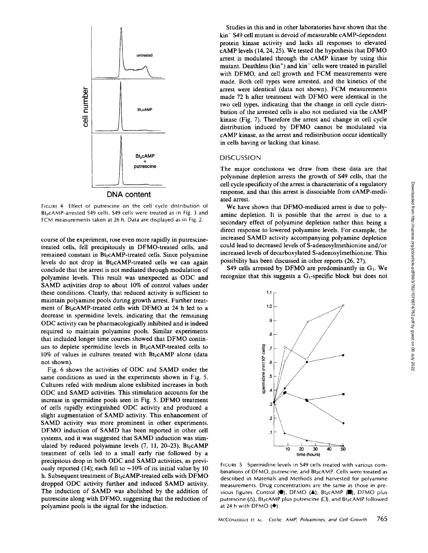

FIGURE 4 Effect of putrescine on the celt cycle distribution of Bt<sub>2</sub>CAMP-arrested \$49 cells. \$49 cells were treated as in Fig. 3 and FCM measurements taken at 26 h. Data are displayed as in Fig. 2.

course of the experiment, rose even more rapidly in putrescinetreated cells, fell precipitously in DFMO-treated cells, and remained constant in Bt<sub>2</sub>cAMP-treated cells. Since polyamine levels do not drop in  $Bt_2cAMP$ -treated cells we can again conclude that the arrest is not mediated through modulation of polyamine levels. This result was unexpected as ODC and SAMD activities drop to about 10% of control values under these conditions. Clearly, that reduced activity is sufficient to maintain polyamine pools during growth arrest. Further treatment of Bt<sub>2</sub>cAMP-treated cells with DFMO at 24 h led to a decrease in spermidine levels, indicating that the remaining ODC activity can be pharmacologically inhibited and is indeed required to maintain polyamine pools. Similar experiments that included longer time courses showed that DFMO continues to deplete spermidine levels in Bt<sub>2</sub>cAMP-treated cells to  $10\%$  of values in cultures treated with Bt<sub>2</sub>cAMP alone (data not shown).

Fig. 6 shows the activities of ODC and SAMD under the same conditions as used in the experiments shown in Fig. 5. Cultures refed with medium alone exhibited increases in both ODC and SAMD activities. This stimulation accounts for the increase in spermidine pools seen in Fig. 5. DFMO treatment of cells rapidly extinguished ODC activity and produced a slight augmentation of SAMD activity. This enhancement of SAMD activity was more prominent in other experiments. DFMO induction of SAMD has been reported in other cell systems, and it was suggested that SAMD induction was stimulated by reduced polyamine levels  $(7, 11, 20-23)$ . Bt<sub>2</sub>cAMP treatment of ceils led to a small early rise followed by a precipitous drop in both ODC and SAMD activities, as previously reported (14); each fell to  $\sim$ 10% of its initial value by 10 h. Subsequent treatment of Bt<sub>2</sub>cAMP-treated cells with DFMO dropped ODC activity further and induced SAMD activity. The induction of SAMD was abolished by the addition of putrescine along with DFMO, suggesting that the reduction of polyamine pools is the signal for the induction.

Studies in this and in other laboratories have shown that the kin<sup>-</sup> S49 cell mutant is devoid of measurable cAMP-dependent protein kinase activity and lacks all responses to elevated cAMP levels (14, 24, 25). We tested the hypothesis that DFMO arrest is modulated through the cAMP kinase by using this mutant. Deathless (kin<sup>+</sup>) and kin<sup>-</sup> cells were treated in parallel with DFMO, and cell growth and FCM measurements were made. Both cell types were arrested, and the kinetics of the arrest were identical (data not shown). FCM measurements made 72 h after treatment with DFMO were identical in the two cell types, indicating that the change in cell cycle distribution of the arrested cells is also not mediated via the cAMP kinase (Fig. 7). Therefore the arrest and change in cell cycle distribution induced by DFMO cannot be modulated via cAMP kinase, as the arrest and redistribution occur identically in cells having or lacking that kinase.

#### DISCUSSION

The major conclusions we draw from these data are that polyamine depletion arrests the growth of \$49 cells, that the cell cycle specificity of the arrest is characteristic of a regulatory response, and that this arrest is dissociable from cAMP-mediated arrest.

We have shown that DFMO-mediated arrest is due to polyamine depletion. It is possible that the arrest is due to a secondary effect of polyamine depletion rather than being a direct response to lowered polyamine levels. For example, the increased SAMD activity accompanying polyamine depletion could lead to decreased levels of S-adenosylmethionine and/or increased levels of decarboxylated S-adenosylmethionine. This possibility has been discussed in other reports (26, 27).

 $S49$  cells arrested by DFMO are predominantly in  $G<sub>1</sub>$ . We recognize that this suggests a  $G_1$ -specific block but does not



FIGURE 5 Spermidine levels in \$49 cells treated with various combinations of DFMO, putrescine, and Bt2cAMP. Cells were treated as described in Materials and Methods and harvested for polyamine measurements. Drug concentrations are the same as those in previous figures. Control (.), DFMO (A), Bt2CAMP (.), DFMO plus putrescine ( $\Delta$ ), Bt<sub>2</sub>cAMP plus putrescine ( $\Box$ ), and Bt<sub>2</sub>cAMP followed at 24 h with DFMO  $(•)$ .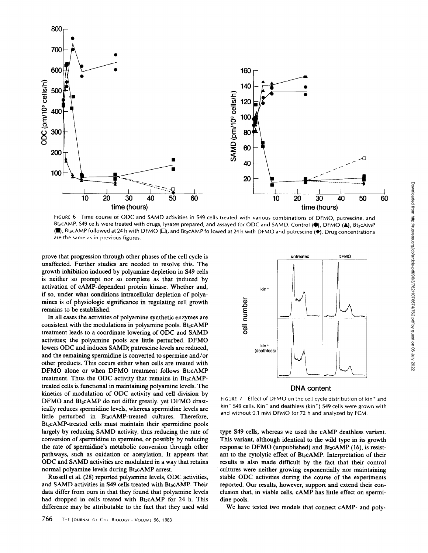

FIGURE 6 Time course of ODC and SAMD activities in \$49 cells treated with various combinations of DFMO, putrescine, and Bt<sub>2</sub>cAMP. S49 cells were treated with drugs, lysates prepared, and assayed for ODC and SAMD. Control (.), DFMO (A), Bt<sub>2</sub>cAMP  $(1)$ , Bt<sub>2</sub>CAMP followed at 24 h with DFMO  $\Box$ ), and Bt<sub>2</sub>CAMP followed at 24 h with DFMO and putrescine ( $\blacklozenge$ ). Drug concentrations are the same as in previous figures.

prove that progression through other phases of the cell cycle is unaffected. Further studies are needed to resolve this. The growth inhibition induced by polyamine depletion in \$49 cells is neither so prompt nor so complete as that induced by activation of cAMP-dependent protein kinase. Whether and, if so, under what conditions intracellular depletion of polyamines is of physiologic significance in regulating cell growth remains to be established.

In all cases the activities of polyamine synthetic enzymes are consistent with the modulations in polyamine pools. Bt $2cAMP$ treatment leads to a coordinate lowering of ODC and SAMD activities; the polyamine pools are little perturbed. DFMO lowers ODC and induces SAMD; putrescine levels are reduced, and the remaining spermidine is converted to spermine and/or other products. This occurs either when cells are treated with  $DFMO$  alone or when  $DFMO$  treatment follows  $Bt_2cAMP$ treatment. Thus the ODC activity that remains in  $Bt_2cAMP$ treated ceils is functional in maintaining polyamine levels. The kinetics of modulation of ODC activity and cell division by DFMO and Bt<sub>2</sub>cAMP do not differ greatly, yet DFMO drastically reduces spermidine levels, ,whereas spermidine levels are little perturbed in Bt<sub>2</sub>cAMP-treated cultures. Therefore, Bt<sub>2</sub>cAMP-treated cells must maintain their spermidine pools largely by reducing SAMD activity, thus reducing the rate of conversion of spermidine to spermine, or possibly by reducing the rate of spermidine's metabolic conversion through other pathways, such as oxidation or acetylation. It appears that ODC and SAMD activities are modulated in a way that retains normal polyamine levels during Bt<sub>2</sub>cAMP arrest.

Russell et al. (28) reported polyamine levels, ODC activities, and SAMD activities in S49 cells treated with Bt2cAMP. Their data differ from ours in that they found that polyamine levels had dropped in cells treated with Bt<sub>2</sub>cAMP for 24 h. This difference may be attributable to the fact that they used wild



FIGURE 7 Effect of DFMO on the ceil cycle distribution of kin\* and  $kin^-$  S49 cells. Kin<sup>-</sup> and deathless (kin<sup>+</sup>) S49 cells were grown with and without 0.1 mM DFMO for 72 h and analyzed by FCM.

type \$49 cells, whereas we used the cAMP deathless variant. This variant, although identical to the wild type in its growth response to DFMO (unpublished) and  $Bt<sub>2</sub>cAMP (16)$ , is resistant to the cytolytic effect of Bt<sub>2</sub>cAMP. Interpretation of their results is also made difficult by the fact that their control cultures were neither growing exponentially nor maintaining stable ODC activities during the course of the experiments reported. Our results, however, support and extend their conclusion that, in viable cells, cAMP has little effect on spermidine pools.

We have tested two models that connect cAMP- and poly-